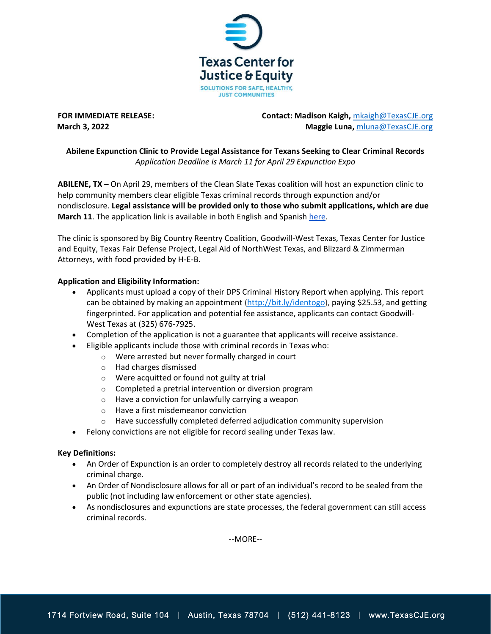

**FOR IMMEDIATE RELEASE: Contact: Madison Kaigh, management Contact: Madison Kaigh,** *[mkaigh@TexasCJE.org](mailto:mkaigh@TexasCJE.org)* **March 3, 2022 Maggie Luna,** [mluna@TexasCJE.org](mailto:mluna@TexasCJE.org)

## **Abilene Expunction Clinic to Provide Legal Assistance for Texans Seeking to Clear Criminal Records** *Application Deadline is March 11 for April 29 Expunction Expo*

**ABILENE, TX –** On April 29, members of the Clean Slate Texas coalition will host an expunction clinic to help community members clear eligible Texas criminal records through expunction and/or nondisclosure. **Legal assistance will be provided only to those who submit applications, which are due March 11**. The application link is available in both English and Spanish [here.](https://fairdefense.cliogrow.com/intake/572aa3f7f6d45b7d9f40265e56dda465)

The clinic is sponsored by Big Country Reentry Coalition, Goodwill-West Texas, Texas Center for Justice and Equity, Texas Fair Defense Project, Legal Aid of NorthWest Texas, and Blizzard & Zimmerman Attorneys, with food provided by H-E-B.

## **Application and Eligibility Information:**

- Applicants must upload a copy of their DPS Criminal History Report when applying. This report can be obtained by making an appointment [\(http://bit.ly/identogo\)](http://bit.ly/identogo), paying \$25.53, and getting fingerprinted. For application and potential fee assistance, applicants can contact Goodwill-West Texas at (325) 676-7925.
- Completion of the application is not a guarantee that applicants will receive assistance.
- Eligible applicants include those with criminal records in Texas who:
	- o Were arrested but never formally charged in court
	- o Had charges dismissed
	- o Were acquitted or found not guilty at trial
	- o Completed a pretrial intervention or diversion program
	- o Have a conviction for unlawfully carrying a weapon
	- o Have a first misdemeanor conviction
	- $\circ$  Have successfully completed deferred adjudication community supervision
- Felony convictions are not eligible for record sealing under Texas law.

## **Key Definitions:**

- An Order of Expunction is an order to completely destroy all records related to the underlying criminal charge.
- An Order of Nondisclosure allows for all or part of an individual's record to be sealed from the public (not including law enforcement or other state agencies).
- As nondisclosures and expunctions are state processes, the federal government can still access criminal records.

--MORE--